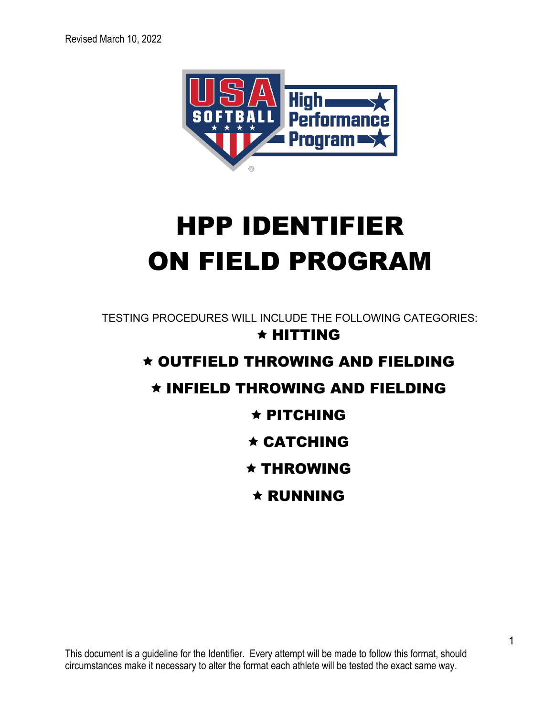

# **HPP IDENTIFIER ON FIELD PROGRAM**

TESTING PROCEDURES WILL INCLUDE THE FOLLOWING CATEGORIES:  $\star$  HITTING \* OUTFIELD THROWING AND FIELDING \* INFIELD THROWING AND FIELDING  $\star$  PITCHING  $\star$  CATCHING  $\star$  THROWING  $\star$  RUNNING

This document is a guideline for the Identifier. Every attempt will be made to follow this format, should circumstances make it necessary to alter the format each athlete will be tested the exact same way.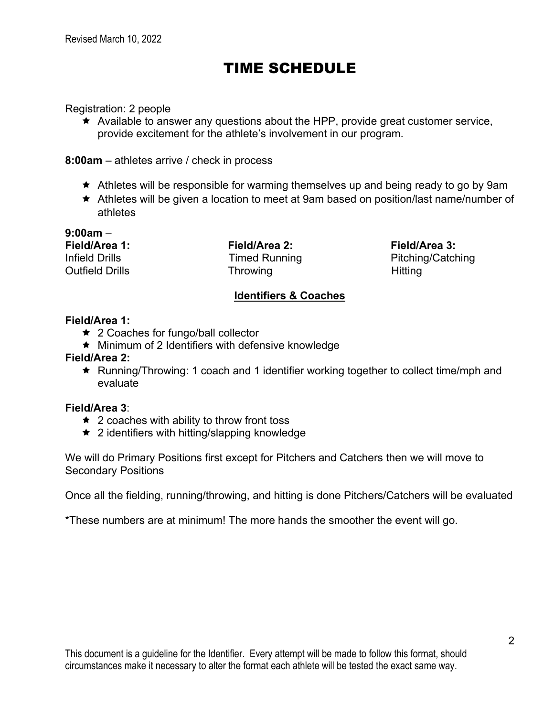# TIME SCHEDULE

Registration: 2 people

 $\star$  Available to answer any questions about the HPP, provide great customer service, provide excitement for the athlete's involvement in our program.

**8:00am** – athletes arrive / check in process

- $\star$  Athletes will be responsible for warming themselves up and being ready to go by 9am
- ê Athletes will be given a location to meet at 9am based on position/last name/number of athletes

**9:00am** –

**Field/Area 1: Field/Area 2: Field/Area 3:** Outfield Drills **Throwing** Throwing Hitting

Infield Drills **Timed Running** Pitching/Catching

# **Identifiers & Coaches**

#### **Field/Area 1:**

- $\star$  2 Coaches for fungo/ball collector
- $\star$  Minimum of 2 Identifiers with defensive knowledge

#### **Field/Area 2:**

ê Running/Throwing: 1 coach and 1 identifier working together to collect time/mph and evaluate

#### **Field/Area 3**:

- $\star$  2 coaches with ability to throw front toss
- $\star$  2 identifiers with hitting/slapping knowledge

We will do Primary Positions first except for Pitchers and Catchers then we will move to Secondary Positions

Once all the fielding, running/throwing, and hitting is done Pitchers/Catchers will be evaluated

\*These numbers are at minimum! The more hands the smoother the event will go.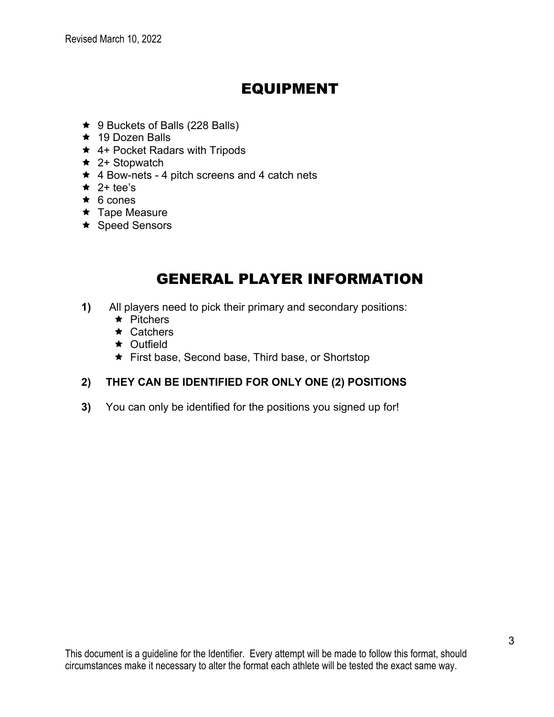# **EQUIPMENT**

- ★ 9 Buckets of Balls (228 Balls)
- $\star$  19 Dozen Balls
- ★ 4+ Pocket Radars with Tripods
- $\star$  2+ Stopwatch
- $\star$  4 Bow-nets 4 pitch screens and 4 catch nets
- $\star$  2+ tee's
- $\star$  6 cones
- $\star$  Tape Measure
- ★ Speed Sensors

# **GENERAL PLAYER INFORMATION**

- All players need to pick their primary and secondary positions:  $1)$ 
	- $\star$  Pitchers
	- $\star$  Catchers
	- $\star$  Outfield
	- First base, Second base, Third base, or Shortstop

# 2) THEY CAN BE IDENTIFIED FOR ONLY ONE (2) POSITIONS

 $3)$ You can only be identified for the positions you signed up for!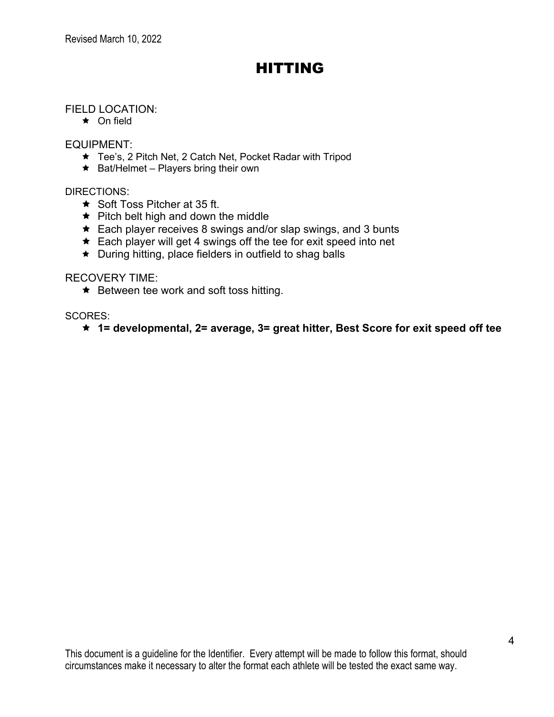# HITTING

### FIELD LOCATION:

 $\star$  On field

#### EQUIPMENT:

- ★ Tee's, 2 Pitch Net, 2 Catch Net, Pocket Radar with Tripod
- $\star$  Bat/Helmet Players bring their own

#### DIRECTIONS:

- $\star$  Soft Toss Pitcher at 35 ft.
- $\star$  Pitch belt high and down the middle
- $\star$  Each player receives 8 swings and/or slap swings, and 3 bunts
- $\star$  Each player will get 4 swings off the tee for exit speed into net
- $\star$  During hitting, place fielders in outfield to shag balls

#### RECOVERY TIME:

 $\star$  Between tee work and soft toss hitting.

SCORES:

ê **1= developmental, 2= average, 3= great hitter, Best Score for exit speed off tee**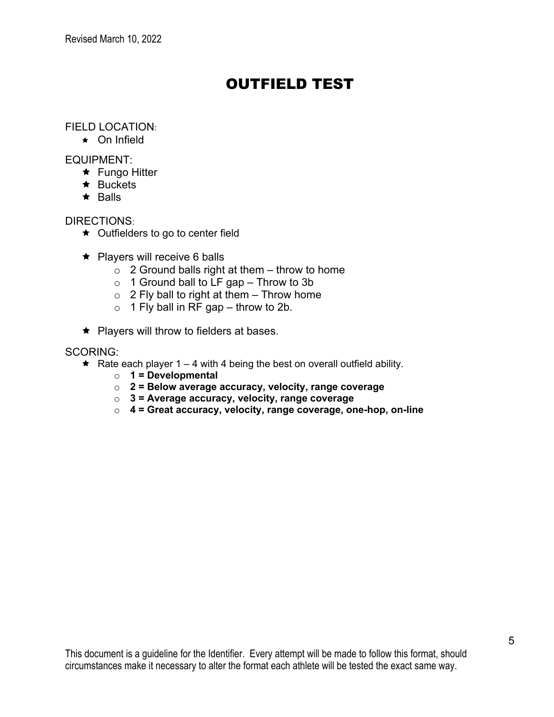# OUTFIELD TEST

### FIELD LOCATION:

 $\star$  On Infield

#### EQUIPMENT:

- **★ Fungo Hitter**
- $\star$  Buckets
- $\star$  Balls

#### DIRECTIONS:

- $\star$  Outfielders to go to center field
- $\star$  Players will receive 6 balls
	- $\circ$  2 Ground balls right at them throw to home
	- $\circ$  1 Ground ball to LF gap Throw to 3b
	- $\circ$  2 Fly ball to right at them Throw home
	- $\circ$  1 Fly ball in RF gap throw to 2b.
- $\star$  Players will throw to fielders at bases.

#### SCORING:

- $\star$  Rate each player 1 4 with 4 being the best on overall outfield ability.
	- o **1 = Developmental**
	- o **2 = Below average accuracy, velocity, range coverage**
	- o **3 = Average accuracy, velocity, range coverage**
	- o **4 = Great accuracy, velocity, range coverage, one-hop, on-line**

This document is a guideline for the Identifier. Every attempt will be made to follow this format, should circumstances make it necessary to alter the format each athlete will be tested the exact same way.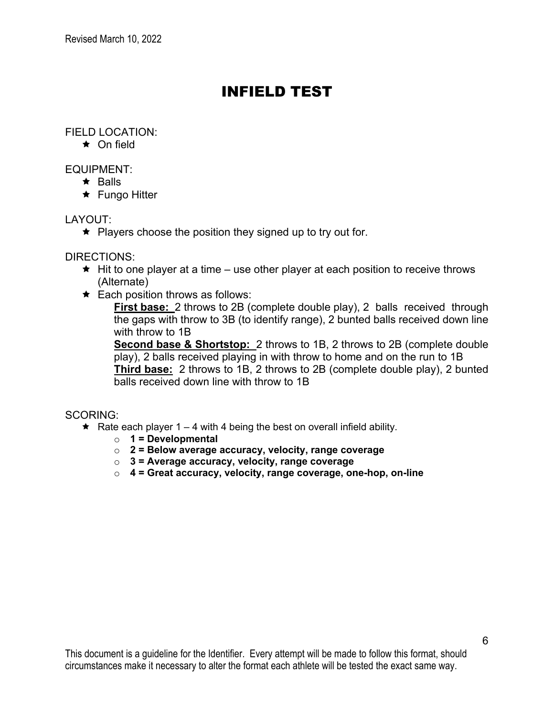# INFIELD TEST

### FIELD LOCATION:

 $\star$  On field

#### EQUIPMENT:

- $\star$  Balls
- $\star$  Fungo Hitter

### LAYOUT:

 $\star$  Players choose the position they signed up to try out for.

#### DIRECTIONS:

- $\star$  Hit to one player at a time use other player at each position to receive throws (Alternate)
- $\star$  Each position throws as follows:

**First base:** 2 throws to 2B (complete double play), 2 balls received through the gaps with throw to 3B (to identify range), 2 bunted balls received down line with throw to 1B

**Second base & Shortstop:** 2 throws to 1B, 2 throws to 2B (complete double play), 2 balls received playing in with throw to home and on the run to 1B **Third base:** 2 throws to 1B, 2 throws to 2B (complete double play), 2 bunted balls received down line with throw to 1B

#### SCORING:

- Rate each player 1 4 with 4 being the best on overall infield ability.
	- o **1 = Developmental**
	- o **2 = Below average accuracy, velocity, range coverage**
	- o **3 = Average accuracy, velocity, range coverage**
	- o **4 = Great accuracy, velocity, range coverage, one-hop, on-line**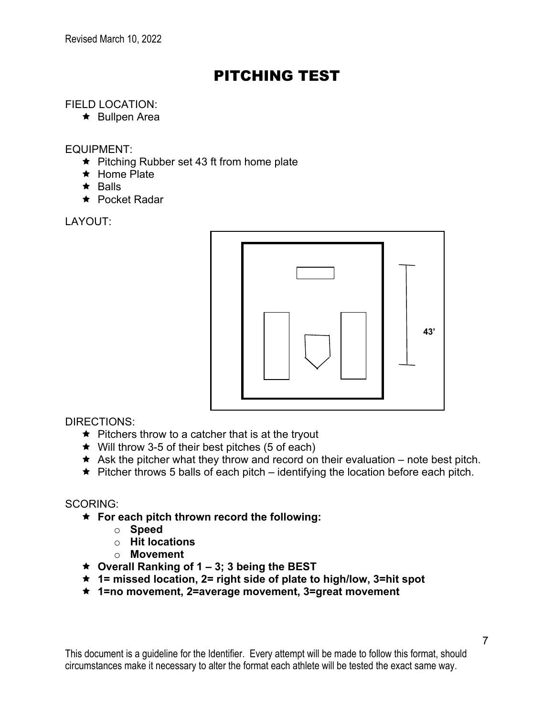# PITCHING TEST

# FIELD LOCATION:

 $\star$  Bullpen Area

#### EQUIPMENT:

- $\star$  Pitching Rubber set 43 ft from home plate
- $\star$  Home Plate
- $\star$  Balls
- **★ Pocket Radar**

LAYOUT:



DIRECTIONS:

- $\bigstar$  Pitchers throw to a catcher that is at the tryout
- $\star$  Will throw 3-5 of their best pitches (5 of each)
- $\star$  Ask the pitcher what they throw and record on their evaluation note best pitch.
- $\star$  Pitcher throws 5 balls of each pitch identifying the location before each pitch.

# SCORING:

- ê **For each pitch thrown record the following:**
	- o **Speed**
	- o **Hit locations**
	- o **Movement**
- ê **Overall Ranking of 1 – 3; 3 being the BEST**
- ê **1= missed location, 2= right side of plate to high/low, 3=hit spot**
- ê **1=no movement, 2=average movement, 3=great movement**

This document is a guideline for the Identifier. Every attempt will be made to follow this format, should circumstances make it necessary to alter the format each athlete will be tested the exact same way.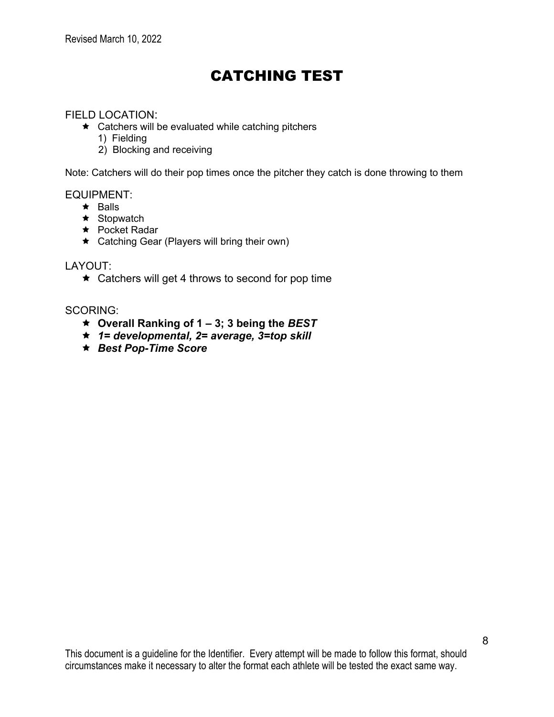# CATCHING TEST

#### FIELD LOCATION:

- $\star$  Catchers will be evaluated while catching pitchers
	- 1) Fielding
	- 2) Blocking and receiving

Note: Catchers will do their pop times once the pitcher they catch is done throwing to them

EQUIPMENT:

- $\star$  Balls
- $\star$  Stopwatch
- **★ Pocket Radar**
- $\star$  Catching Gear (Players will bring their own)

#### LAYOUT:

 $\star$  Catchers will get 4 throws to second for pop time

#### SCORING:

- ê **Overall Ranking of 1 – 3; 3 being the** *BEST*
- ê *1= developmental, 2= average, 3=top skill*
- ê *Best Pop-Time Score*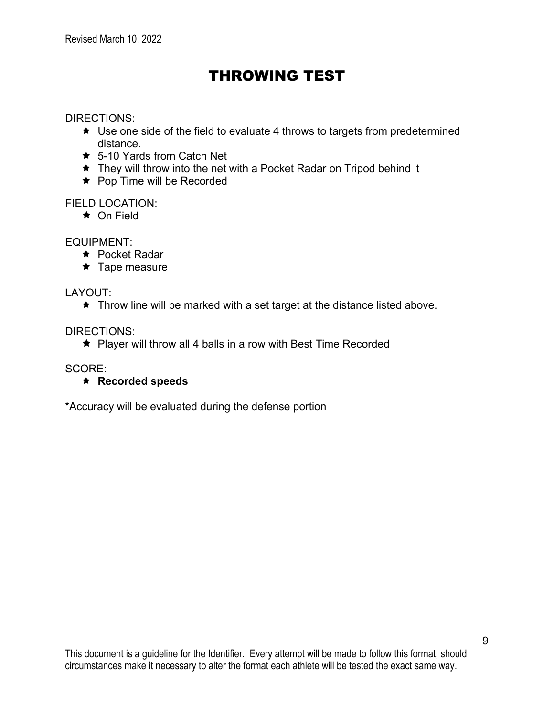# THROWING TEST

#### DIRECTIONS:

- $\star$  Use one side of the field to evaluate 4 throws to targets from predetermined distance.
- $\star$  5-10 Yards from Catch Net
- $\star$  They will throw into the net with a Pocket Radar on Tripod behind it
- $\star$  Pop Time will be Recorded

# FIELD LOCATION:

 $\star$  On Field

EQUIPMENT:

- **★ Pocket Radar**
- $\star$  Tape measure

# LAYOUT:

 $\star$  Throw line will be marked with a set target at the distance listed above.

DIRECTIONS:

 $\star$  Player will throw all 4 balls in a row with Best Time Recorded

SCORE:

# ê **Recorded speeds**

\*Accuracy will be evaluated during the defense portion